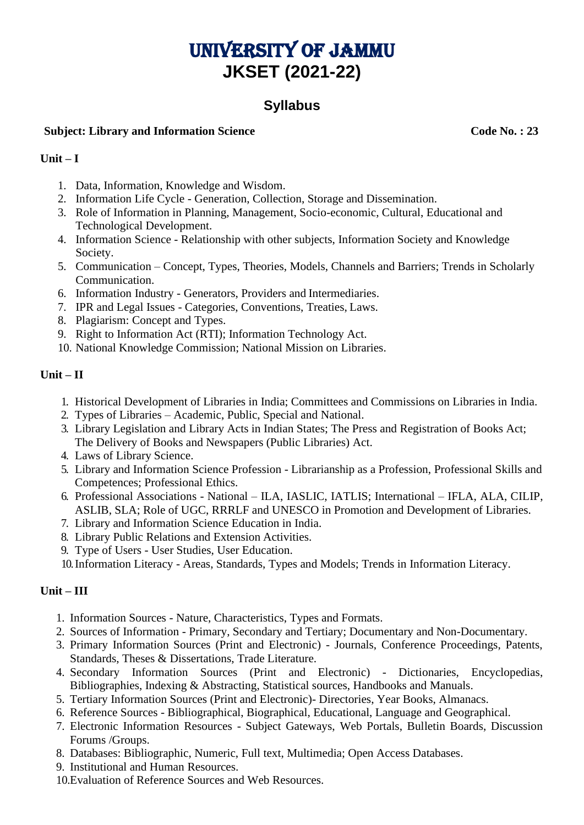# University of Jammu **JKSET (2021-22)**

# **Syllabus**

## **Subject: Library and Information Science Code No. : 23**

#### **Unit – I**

- 1. Data, Information, Knowledge and Wisdom.
- 2. Information Life Cycle Generation, Collection, Storage and Dissemination.
- 3. Role of Information in Planning, Management, Socio-economic, Cultural, Educational and Technological Development.
- 4. Information Science Relationship with other subjects, Information Society and Knowledge Society.
- 5. Communication Concept, Types, Theories, Models, Channels and Barriers; Trends in Scholarly Communication.
- 6. Information Industry Generators, Providers and Intermediaries.
- 7. IPR and Legal Issues Categories, Conventions, Treaties, Laws.
- 8. Plagiarism: Concept and Types.
- 9. Right to Information Act (RTI); Information Technology Act.
- 10. National Knowledge Commission; National Mission on Libraries.

#### **Unit – II**

- 1. Historical Development of Libraries in India; Committees and Commissions on Libraries in India.
- 2. Types of Libraries Academic, Public, Special and National.
- 3. Library Legislation and Library Acts in Indian States; The Press and Registration of Books Act; The Delivery of Books and Newspapers (Public Libraries) Act.
- 4. Laws of Library Science.
- 5. Library and Information Science Profession Librarianship as a Profession, Professional Skills and Competences; Professional Ethics.
- 6. Professional Associations National ILA, IASLIC, IATLIS; International IFLA, ALA, CILIP, ASLIB, SLA; Role of UGC, RRRLF and UNESCO in Promotion and Development of Libraries.
- 7. Library and Information Science Education in India.
- 8. Library Public Relations and Extension Activities.
- 9. Type of Users User Studies, User Education.
- 10.Information Literacy Areas, Standards, Types and Models; Trends in Information Literacy.

### **Unit – III**

- 1. Information Sources Nature, Characteristics, Types and Formats.
- 2. Sources of Information Primary, Secondary and Tertiary; Documentary and Non-Documentary.
- 3. Primary Information Sources (Print and Electronic) Journals, Conference Proceedings, Patents, Standards, Theses & Dissertations, Trade Literature.
- 4. Secondary Information Sources (Print and Electronic) Dictionaries, Encyclopedias, Bibliographies, Indexing & Abstracting, Statistical sources, Handbooks and Manuals.
- 5. Tertiary Information Sources (Print and Electronic)- Directories, Year Books, Almanacs.
- 6. Reference Sources Bibliographical, Biographical, Educational, Language and Geographical.
- 7. Electronic Information Resources Subject Gateways, Web Portals, Bulletin Boards, Discussion Forums /Groups.
- 8. Databases: Bibliographic, Numeric, Full text, Multimedia; Open Access Databases.
- 9. Institutional and Human Resources.
- 10.Evaluation of Reference Sources and Web Resources.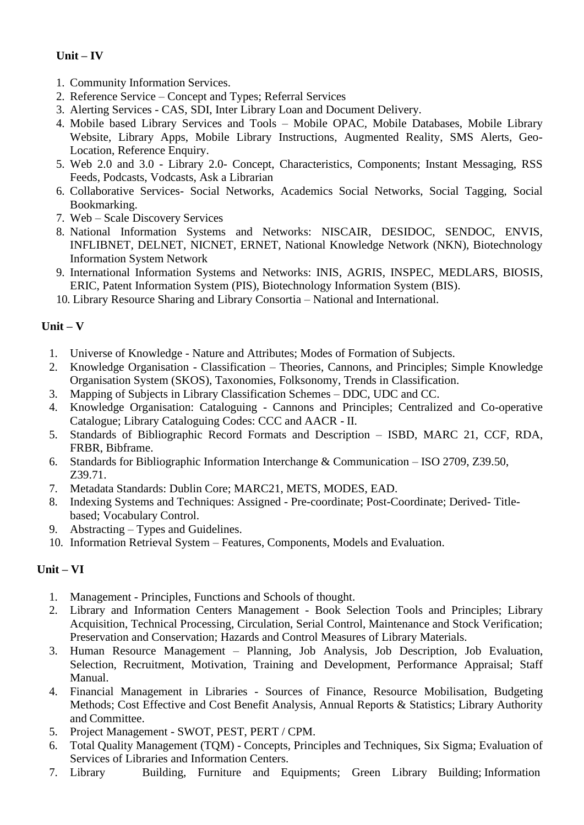## **Unit – IV**

- 1. Community Information Services.
- 2. Reference Service Concept and Types; Referral Services
- 3. Alerting Services CAS, SDI, Inter Library Loan and Document Delivery.
- 4. Mobile based Library Services and Tools Mobile OPAC, Mobile Databases, Mobile Library Website, Library Apps, Mobile Library Instructions, Augmented Reality, SMS Alerts, Geo-Location, Reference Enquiry.
- 5. Web 2.0 and 3.0 Library 2.0- Concept, Characteristics, Components; Instant Messaging, RSS Feeds, Podcasts, Vodcasts, Ask a Librarian
- 6. Collaborative Services- Social Networks, Academics Social Networks, Social Tagging, Social Bookmarking.
- 7. Web Scale Discovery Services
- 8. National Information Systems and Networks: NISCAIR, DESIDOC, SENDOC, ENVIS, INFLIBNET, DELNET, NICNET, ERNET, National Knowledge Network (NKN), Biotechnology Information System Network
- 9. International Information Systems and Networks: INIS, AGRIS, INSPEC, MEDLARS, BIOSIS, ERIC, Patent Information System (PIS), Biotechnology Information System (BIS).
- 10. Library Resource Sharing and Library Consortia National and International.

## **Unit – V**

- 1. Universe of Knowledge Nature and Attributes; Modes of Formation of Subjects.
- 2. Knowledge Organisation Classification Theories, Cannons, and Principles; Simple Knowledge Organisation System (SKOS), Taxonomies, Folksonomy, Trends in Classification.
- 3. Mapping of Subjects in Library Classification Schemes DDC, UDC and CC.
- 4. Knowledge Organisation: Cataloguing Cannons and Principles; Centralized and Co-operative Catalogue; Library Cataloguing Codes: CCC and AACR - II.
- 5. Standards of Bibliographic Record Formats and Description ISBD, MARC 21, CCF, RDA, FRBR, Bibframe.
- 6. Standards for Bibliographic Information Interchange & Communication ISO 2709, Z39.50, Z39.71.
- 7. Metadata Standards: Dublin Core; MARC21, METS, MODES, EAD.
- 8. Indexing Systems and Techniques: Assigned Pre-coordinate; Post-Coordinate; Derived- Titlebased; Vocabulary Control.
- 9. Abstracting Types and Guidelines.
- 10. Information Retrieval System Features, Components, Models and Evaluation.

### **Unit – VI**

- 1. Management Principles, Functions and Schools of thought.
- 2. Library and Information Centers Management Book Selection Tools and Principles; Library Acquisition, Technical Processing, Circulation, Serial Control, Maintenance and Stock Verification; Preservation and Conservation; Hazards and Control Measures of Library Materials.
- 3. Human Resource Management Planning, Job Analysis, Job Description, Job Evaluation, Selection, Recruitment, Motivation, Training and Development, Performance Appraisal; Staff Manual.
- 4. Financial Management in Libraries Sources of Finance, Resource Mobilisation, Budgeting Methods; Cost Effective and Cost Benefit Analysis, Annual Reports & Statistics; Library Authority and Committee.
- 5. Project Management SWOT, PEST, PERT / CPM.
- 6. Total Quality Management (TQM) Concepts, Principles and Techniques, Six Sigma; Evaluation of Services of Libraries and Information Centers.
- 7. Library Building, Furniture and Equipments; Green Library Building; Information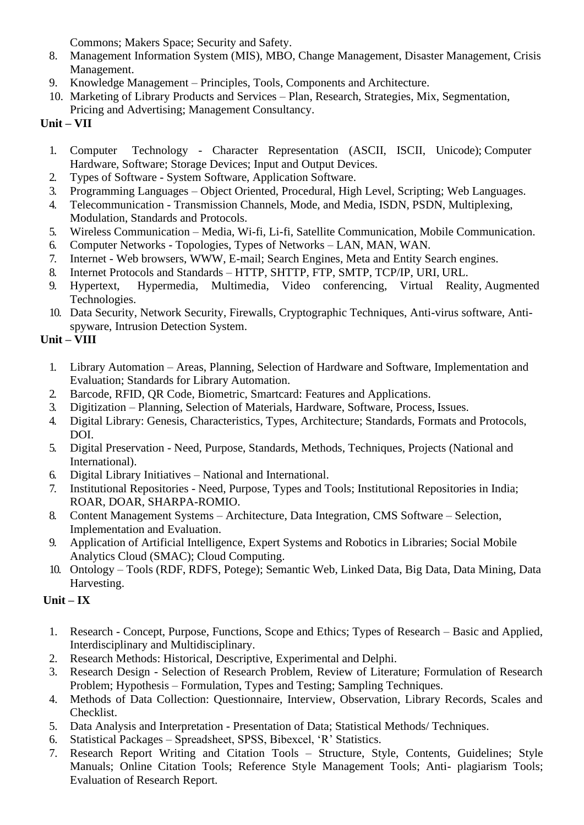Commons; Makers Space; Security and Safety.

- 8. Management Information System (MIS), MBO, Change Management, Disaster Management, Crisis Management.
- 9. Knowledge Management Principles, Tools, Components and Architecture.
- 10. Marketing of Library Products and Services Plan, Research, Strategies, Mix, Segmentation, Pricing and Advertising; Management Consultancy.

# **Unit – VII**

- 1. Computer Technology Character Representation (ASCII, ISCII, Unicode); Computer Hardware, Software; Storage Devices; Input and Output Devices.
- 2. Types of Software System Software, Application Software.
- 3. Programming Languages Object Oriented, Procedural, High Level, Scripting; Web Languages.
- 4. Telecommunication Transmission Channels, Mode, and Media, ISDN, PSDN, Multiplexing, Modulation, Standards and Protocols.
- 5. Wireless Communication Media, Wi-fi, Li-fi, Satellite Communication, Mobile Communication.
- 6. Computer Networks Topologies, Types of Networks LAN, MAN, WAN.
- 7. Internet Web browsers, WWW, E-mail; Search Engines, Meta and Entity Search engines.
- 8. Internet Protocols and Standards HTTP, SHTTP, FTP, SMTP, TCP/IP, URI, URL.
- 9. Hypertext, Hypermedia, Multimedia, Video conferencing, Virtual Reality, Augmented Technologies.
- 10. Data Security, Network Security, Firewalls, Cryptographic Techniques, Anti-virus software, Antispyware, Intrusion Detection System.

# **Unit – VIII**

- 1. Library Automation Areas, Planning, Selection of Hardware and Software, Implementation and Evaluation; Standards for Library Automation.
- 2. Barcode, RFID, QR Code, Biometric, Smartcard: Features and Applications.
- 3. Digitization Planning, Selection of Materials, Hardware, Software, Process, Issues.
- 4. Digital Library: Genesis, Characteristics, Types, Architecture; Standards, Formats and Protocols, DOI.
- 5. Digital Preservation Need, Purpose, Standards, Methods, Techniques, Projects (National and International).
- 6. Digital Library Initiatives National and International.
- 7. Institutional Repositories Need, Purpose, Types and Tools; Institutional Repositories in India; ROAR, DOAR, SHARPA-ROMIO.
- 8. Content Management Systems Architecture, Data Integration, CMS Software Selection, Implementation and Evaluation.
- 9. Application of Artificial Intelligence, Expert Systems and Robotics in Libraries; Social Mobile Analytics Cloud (SMAC); Cloud Computing.
- 10. Ontology Tools (RDF, RDFS, Potege); Semantic Web, Linked Data, Big Data, Data Mining, Data Harvesting.

# **Unit – IX**

- 1. Research Concept, Purpose, Functions, Scope and Ethics; Types of Research Basic and Applied, Interdisciplinary and Multidisciplinary.
- 2. Research Methods: Historical, Descriptive, Experimental and Delphi.
- 3. Research Design Selection of Research Problem, Review of Literature; Formulation of Research Problem; Hypothesis – Formulation, Types and Testing; Sampling Techniques.
- 4. Methods of Data Collection: Questionnaire, Interview, Observation, Library Records, Scales and Checklist.
- 5. Data Analysis and Interpretation Presentation of Data; Statistical Methods/ Techniques.
- 6. Statistical Packages Spreadsheet, SPSS, Bibexcel, 'R' Statistics.
- 7. Research Report Writing and Citation Tools Structure, Style, Contents, Guidelines; Style Manuals; Online Citation Tools; Reference Style Management Tools; Anti- plagiarism Tools; Evaluation of Research Report.